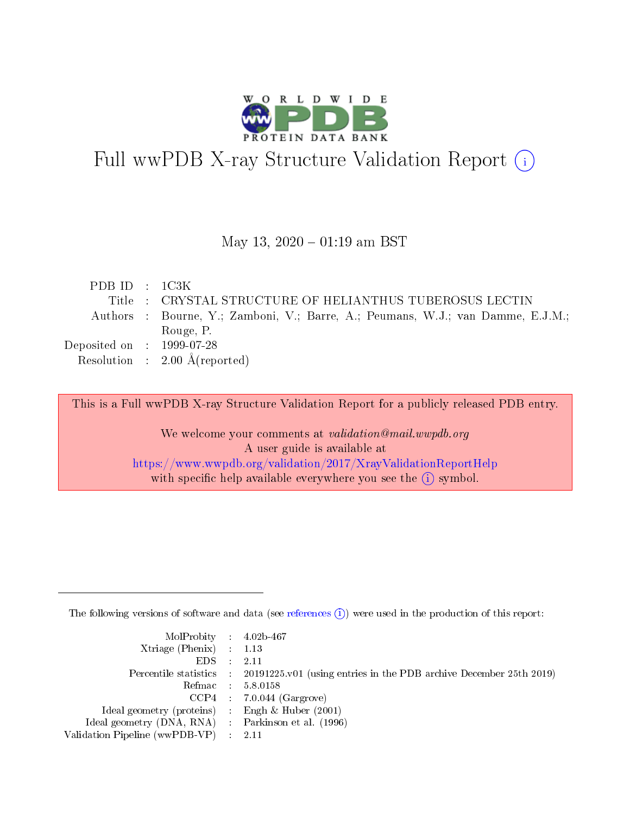

# Full wwPDB X-ray Structure Validation Report (i)

#### May 13,  $2020 - 01:19$  am BST

| PDBID : 1C3K                |                                                                                 |
|-----------------------------|---------------------------------------------------------------------------------|
|                             | Title : CRYSTAL STRUCTURE OF HELIANTHUS TUBEROSUS LECTIN                        |
|                             | Authors : Bourne, Y.; Zamboni, V.; Barre, A.; Peumans, W.J.; van Damme, E.J.M.; |
|                             | Rouge, P.                                                                       |
| Deposited on : $1999-07-28$ |                                                                                 |
|                             | Resolution : $2.00 \text{ Å}$ (reported)                                        |

This is a Full wwPDB X-ray Structure Validation Report for a publicly released PDB entry.

We welcome your comments at validation@mail.wwpdb.org A user guide is available at <https://www.wwpdb.org/validation/2017/XrayValidationReportHelp> with specific help available everywhere you see the  $(i)$  symbol.

The following versions of software and data (see [references](https://www.wwpdb.org/validation/2017/XrayValidationReportHelp#references)  $(i)$ ) were used in the production of this report:

| MolProbity : 4.02b-467                              |                                                                                            |
|-----------------------------------------------------|--------------------------------------------------------------------------------------------|
| Xtriage (Phenix) $: 1.13$                           |                                                                                            |
| $EDS = 2.11$                                        |                                                                                            |
|                                                     | Percentile statistics : 20191225.v01 (using entries in the PDB archive December 25th 2019) |
|                                                     | Refmac : 5.8.0158                                                                          |
|                                                     | $CCP4$ : 7.0.044 (Gargrove)                                                                |
| Ideal geometry (proteins) : Engh $\&$ Huber (2001)  |                                                                                            |
| Ideal geometry (DNA, RNA) : Parkinson et al. (1996) |                                                                                            |
| Validation Pipeline (wwPDB-VP) : 2.11               |                                                                                            |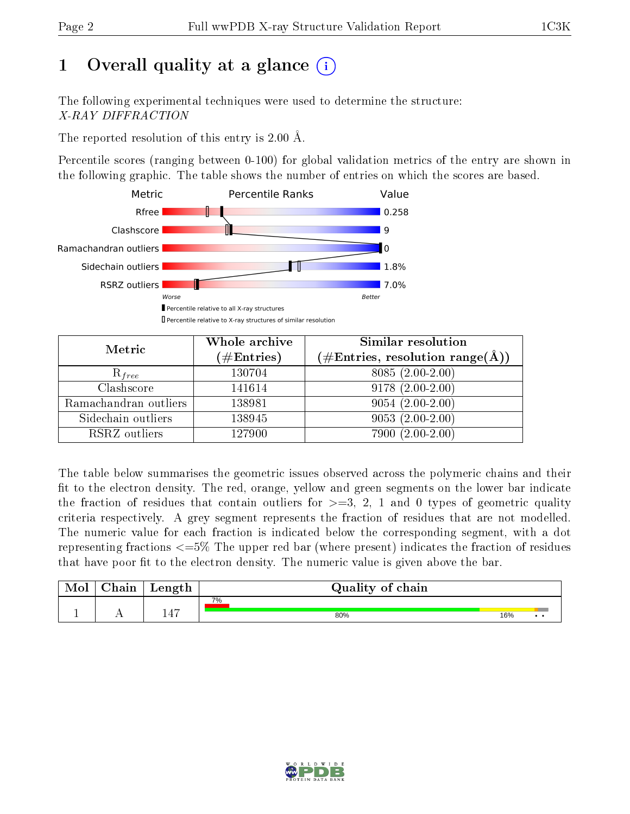# 1 [O](https://www.wwpdb.org/validation/2017/XrayValidationReportHelp#overall_quality)verall quality at a glance  $(i)$

The following experimental techniques were used to determine the structure: X-RAY DIFFRACTION

The reported resolution of this entry is 2.00 Å.

Percentile scores (ranging between 0-100) for global validation metrics of the entry are shown in the following graphic. The table shows the number of entries on which the scores are based.



| Metric                | Whole archive<br>$(\#\mathrm{Entries})$ | Similar resolution<br>$(\#\text{Entries},\,\text{resolution}\,\,\text{range}(\textup{\AA}))$ |
|-----------------------|-----------------------------------------|----------------------------------------------------------------------------------------------|
| $R_{free}$            | 130704                                  | $8085(2.00-2.00)$                                                                            |
| Clashscore            | 141614                                  | $9178(2.00-2.00)$                                                                            |
| Ramachandran outliers | 138981                                  | $9054(2.00-2.00)$                                                                            |
| Sidechain outliers    | 138945                                  | $9053(2.00-2.00)$                                                                            |
| RSRZ outliers         | 127900                                  | $7900(2.00-2.00)$                                                                            |

The table below summarises the geometric issues observed across the polymeric chains and their fit to the electron density. The red, orange, yellow and green segments on the lower bar indicate the fraction of residues that contain outliers for  $>=3, 2, 1$  and 0 types of geometric quality criteria respectively. A grey segment represents the fraction of residues that are not modelled. The numeric value for each fraction is indicated below the corresponding segment, with a dot representing fractions  $\epsilon=5\%$  The upper red bar (where present) indicates the fraction of residues that have poor fit to the electron density. The numeric value is given above the bar.

| Mol | $\cap$ hain | Length       | Quality of chain |     |              |
|-----|-------------|--------------|------------------|-----|--------------|
|     |             |              | 7%               |     |              |
|     |             | -47<br>I the | 80%              | 16% | $\cdot\cdot$ |

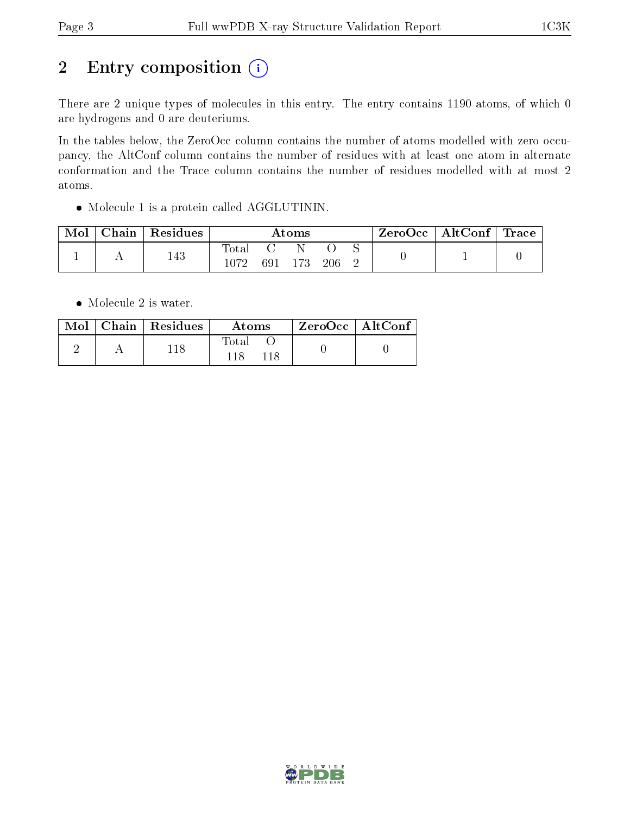# 2 Entry composition (i)

There are 2 unique types of molecules in this entry. The entry contains 1190 atoms, of which 0 are hydrogens and 0 are deuteriums.

In the tables below, the ZeroOcc column contains the number of atoms modelled with zero occupancy, the AltConf column contains the number of residues with at least one atom in alternate conformation and the Trace column contains the number of residues modelled with at most 2 atoms.

Molecule 1 is a protein called AGGLUTININ.

| Mol | Chain   Residues | $\rm{Atoms}$      |     |     | ZeroOcc   AltConf   Trace |  |  |  |
|-----|------------------|-------------------|-----|-----|---------------------------|--|--|--|
|     | 143              | Total<br>$1072\,$ | 691 | 173 | 206                       |  |  |  |

• Molecule 2 is water.

| Mol | $ $ Chain $ $ Residues $ $ | Atoms | $\,$ ZeroOcc $\, \,$ AltConf $\,$ |  |
|-----|----------------------------|-------|-----------------------------------|--|
|     |                            | Total |                                   |  |

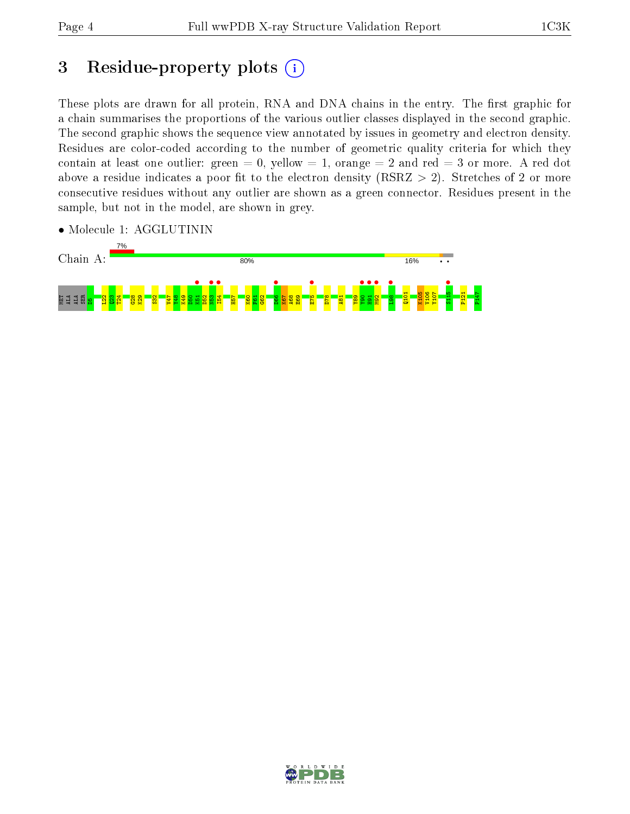## 3 Residue-property plots  $(i)$

These plots are drawn for all protein, RNA and DNA chains in the entry. The first graphic for a chain summarises the proportions of the various outlier classes displayed in the second graphic. The second graphic shows the sequence view annotated by issues in geometry and electron density. Residues are color-coded according to the number of geometric quality criteria for which they contain at least one outlier: green  $= 0$ , yellow  $= 1$ , orange  $= 2$  and red  $= 3$  or more. A red dot above a residue indicates a poor fit to the electron density (RSRZ  $> 2$ ). Stretches of 2 or more consecutive residues without any outlier are shown as a green connector. Residues present in the sample, but not in the model, are shown in grey.

• Molecule 1: AGGLUTININ



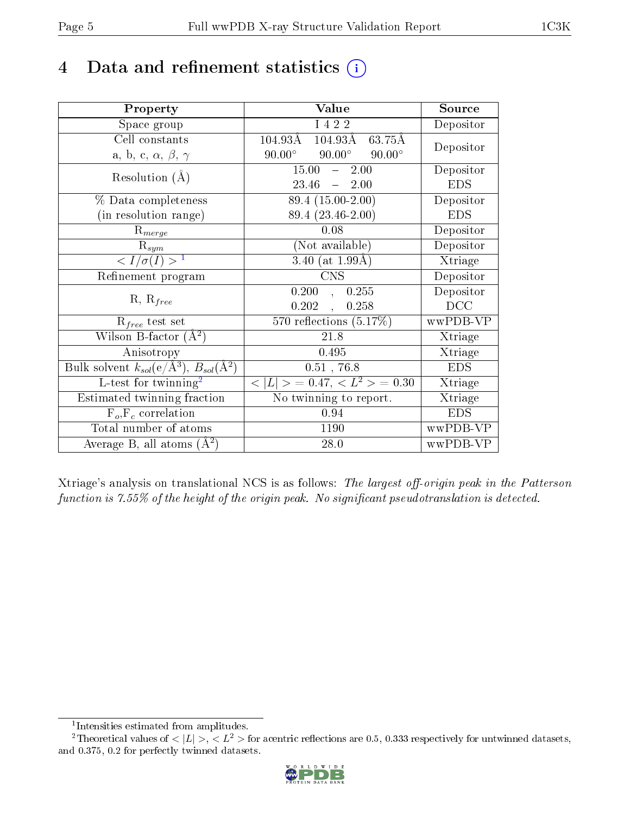## 4 Data and refinement statistics  $(i)$

| Property                                                         | Value                                              | Source     |
|------------------------------------------------------------------|----------------------------------------------------|------------|
| Space group                                                      | I 4 2 2                                            | Depositor  |
| Cell constants                                                   | $104.93\text{\AA}$<br>$104.93\text{\AA}$<br>63.75Å | Depositor  |
| a, b, c, $\alpha$ , $\beta$ , $\gamma$                           | $90.00^\circ$<br>$90.00^\circ$<br>$90.00^\circ$    |            |
| Resolution $(A)$                                                 | 15.00<br>2.00<br>$\frac{1}{2}$                     | Depositor  |
|                                                                  | 23.46<br>$-2.00$                                   | <b>EDS</b> |
| % Data completeness                                              | 89.4 (15.00-2.00)                                  | Depositor  |
| (in resolution range)                                            | 89.4 (23.46-2.00)                                  | <b>EDS</b> |
| $R_{merge}$                                                      | 0.08                                               | Depositor  |
| $\mathrm{R}_{sym}$                                               | (Not available)                                    | Depositor  |
| $\langle I/\sigma(I) \rangle^{-1}$                               | $3.40$ (at $1.99\text{\AA}$ )                      | Xtriage    |
| Refinement program                                               | <b>CNS</b>                                         | Depositor  |
|                                                                  | 0.200<br>0.255<br>$\mathbf{A}$                     | Depositor  |
| $R, R_{free}$                                                    | 0.202<br>0.258<br>$\ddot{\phantom{a}}$             | DCC        |
| $R_{free}$ test set                                              | 570 reflections $(5.17\%)$                         | wwPDB-VP   |
| Wilson B-factor $(A^2)$                                          | 21.8                                               | Xtriage    |
| Anisotropy                                                       | 0.495                                              | Xtriage    |
| Bulk solvent $k_{sol}(\text{e}/\text{A}^3), B_{sol}(\text{A}^2)$ | 0.51, 76.8                                         | <b>EDS</b> |
| L-test for $\mathrm{twinning}^2$                                 | $< L >$ = 0.47, $< L2 >$ = 0.30                    | Xtriage    |
| Estimated twinning fraction                                      | No twinning to report.                             | Xtriage    |
| $\overline{F_o}, \overline{F_c}$ correlation                     | 0.94                                               | <b>EDS</b> |
| Total number of atoms                                            | 1190                                               | wwPDB-VP   |
| Average B, all atoms $(A^2)$                                     | 28.0                                               | wwPDB-VP   |

Xtriage's analysis on translational NCS is as follows: The largest off-origin peak in the Patterson function is  $7.55\%$  of the height of the origin peak. No significant pseudotranslation is detected.

<sup>&</sup>lt;sup>2</sup>Theoretical values of  $\langle |L| \rangle$ ,  $\langle L^2 \rangle$  for acentric reflections are 0.5, 0.333 respectively for untwinned datasets, and 0.375, 0.2 for perfectly twinned datasets.



<span id="page-4-1"></span><span id="page-4-0"></span><sup>1</sup> Intensities estimated from amplitudes.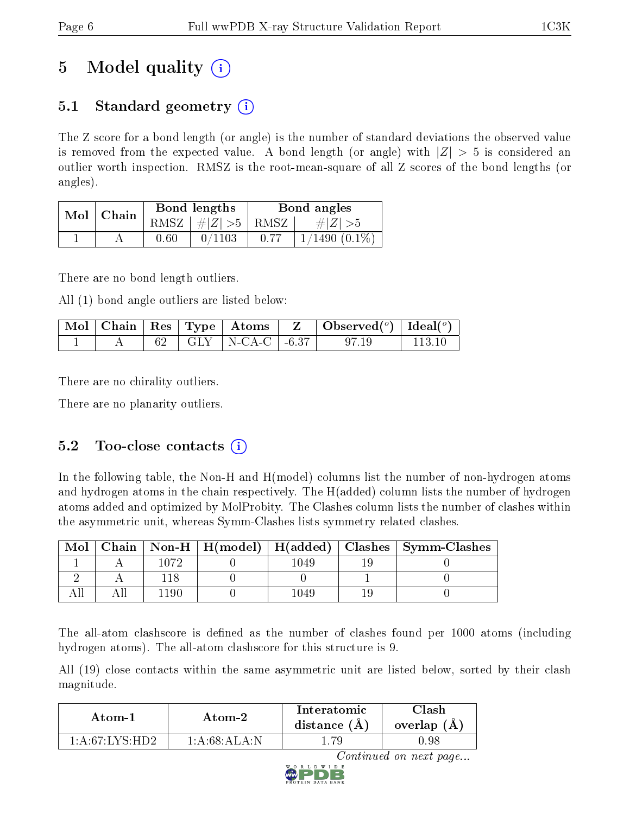# 5 Model quality  $(i)$

### 5.1 Standard geometry  $\overline{()}$

The Z score for a bond length (or angle) is the number of standard deviations the observed value is removed from the expected value. A bond length (or angle) with  $|Z| > 5$  is considered an outlier worth inspection. RMSZ is the root-mean-square of all Z scores of the bond lengths (or angles).

| Mol | Chain |          | Bond lengths | Bond angles |                      |  |
|-----|-------|----------|--------------|-------------|----------------------|--|
|     |       | RMSZ     | #Z  > 5      | RMSZ        | # Z  > 5             |  |
|     |       | $0.60\,$ | 0/1103       |             | $\sqrt{1490}$ (0.1%) |  |

There are no bond length outliers.

All (1) bond angle outliers are listed below:

|  |  | $\lceil\,\overline{\text{Mol}}\,\rceil$ Chain $\lceil\,\text{Res}\,\rceil$ Type $\lceil\,\text{Atoms}\,\rceil$ Z $\lceil\,\rceil$ | $\mid$ Observed $({}^o)\mid$ Ideal $({}^o)\mid$ |          |
|--|--|-----------------------------------------------------------------------------------------------------------------------------------|-------------------------------------------------|----------|
|  |  | 62   GLY   N-CA-C   -6.37                                                                                                         | -97-19                                          | - 113 10 |

There are no chirality outliers.

There are no planarity outliers.

#### 5.2 Too-close contacts (i)

In the following table, the Non-H and H(model) columns list the number of non-hydrogen atoms and hydrogen atoms in the chain respectively. The H(added) column lists the number of hydrogen atoms added and optimized by MolProbity. The Clashes column lists the number of clashes within the asymmetric unit, whereas Symm-Clashes lists symmetry related clashes.

| Mol |     |      | Chain   Non-H   H(model)   H(added)   Clashes   Symm-Clashes |
|-----|-----|------|--------------------------------------------------------------|
|     | በ72 | 1049 |                                                              |
|     |     |      |                                                              |
|     | 190 | 1049 |                                                              |

The all-atom clashscore is defined as the number of clashes found per 1000 atoms (including hydrogen atoms). The all-atom clashscore for this structure is 9.

All (19) close contacts within the same asymmetric unit are listed below, sorted by their clash magnitude.

| Atom-1                                               | Atom-2                | Interatomic<br>distance $(A)$ | <b>Clash</b><br>overlap (A) |  |
|------------------------------------------------------|-----------------------|-------------------------------|-----------------------------|--|
| $1 \cdot A \cdot 67 \cdot I \cdot Y \cdot H \cdot D$ | 1 · A ·68 · A L A · N | -70-                          | -98                         |  |

Continued on next page...

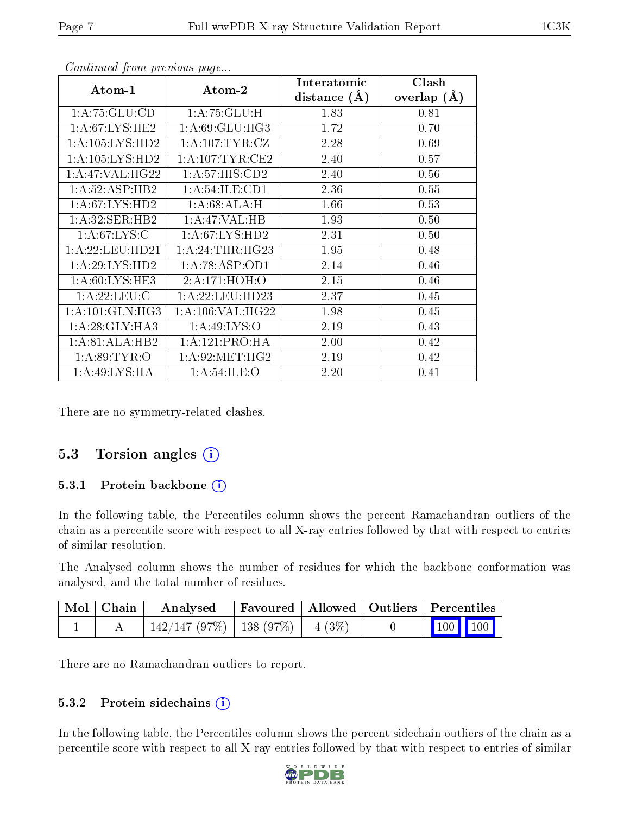| Atom-1              | Atom-2               | Interatomic      | Clash         |
|---------------------|----------------------|------------------|---------------|
|                     |                      | distance $(\AA)$ | overlap $(A)$ |
| 1:A:75:GLU:CD       | 1: A:75: GLU:H       | 1.83             | 0.81          |
| 1: A:67: LYS: HE2   | 1: A:69: GLU: HG3    | 1.72             | 0.70          |
| 1: A: 105: LYS: HD2 | 1: A: 107: TYR: CZ   | 2.28             | 0.69          |
| 1: A: 105: LYS: HD2 | 1: A: 107: TYR: CE2  | 2.40             | 0.57          |
| 1:A:47:VAL:HG22     | 1:A:57:HIS:CD2       | 2.40             | 0.56          |
| 1:A:52:ASP:HB2      | 1: A:54: ILE: CD1    | 2.36             | 0.55          |
| 1:A:67:LYS:HD2      | 1:A:68:ALA:H         | 1.66             | 0.53          |
| 1:A:32:SER:HB2      | 1:A:47:VAL:HB        | 1.93             | 0.50          |
| 1: A:67: LYS:C      | 1:A:67:LYS:HD2       | 2.31             | 0.50          |
| 1:A:22:LEU:HD21     | 1: A:24:THR:HG23     | 1.95             | 0.48          |
| 1:A:29:LYS:HD2      | 1: A:78: ASP:OD1     | 2.14             | 0.46          |
| 1: A:60: LYS: HE3   | 2:A:171:HOH:O        | 2.15             | 0.46          |
| 1: A:22:LEU:C       | 1:A:22:LEU:HD23      | 2.37             | 0.45          |
| 1:A:101:GLN:HG3     | 1: A: 106: VAL: HG22 | 1.98             | 0.45          |
| 1: A:28: GLY:HA3    | 1: A:49: LYS:O       | 2.19             | 0.43          |
| 1: A:81: ALA:HB2    | 1:A:121:PRO:HA       | 2.00             | 0.42          |
| 1: A:89: TYR:O      | 1: A:92:MET:HG2      | 2.19             | 0.42          |
| 1:A:49:LYS:HA       | 1: A:54: ILE: O      | 2.20             | 0.41          |

Continued from previous page...

There are no symmetry-related clashes.

#### 5.3 Torsion angles  $(i)$

#### 5.3.1 Protein backbone (i)

In the following table, the Percentiles column shows the percent Ramachandran outliers of the chain as a percentile score with respect to all X-ray entries followed by that with respect to entries of similar resolution.

The Analysed column shows the number of residues for which the backbone conformation was analysed, and the total number of residues.

| $\mid$ Mol $\mid$ Chain $\mid$ | Analysed                                | Favoured   Allowed   Outliers   Percentiles |  |                                                                       |  |
|--------------------------------|-----------------------------------------|---------------------------------------------|--|-----------------------------------------------------------------------|--|
|                                | $142/147$ (97\%)   138 (97\%)   4 (3\%) |                                             |  | $\begin{array}{ c c c c c }\n\hline\n100 & 100 & \hline\n\end{array}$ |  |

There are no Ramachandran outliers to report.

#### 5.3.2 Protein sidechains  $(i)$

In the following table, the Percentiles column shows the percent sidechain outliers of the chain as a percentile score with respect to all X-ray entries followed by that with respect to entries of similar

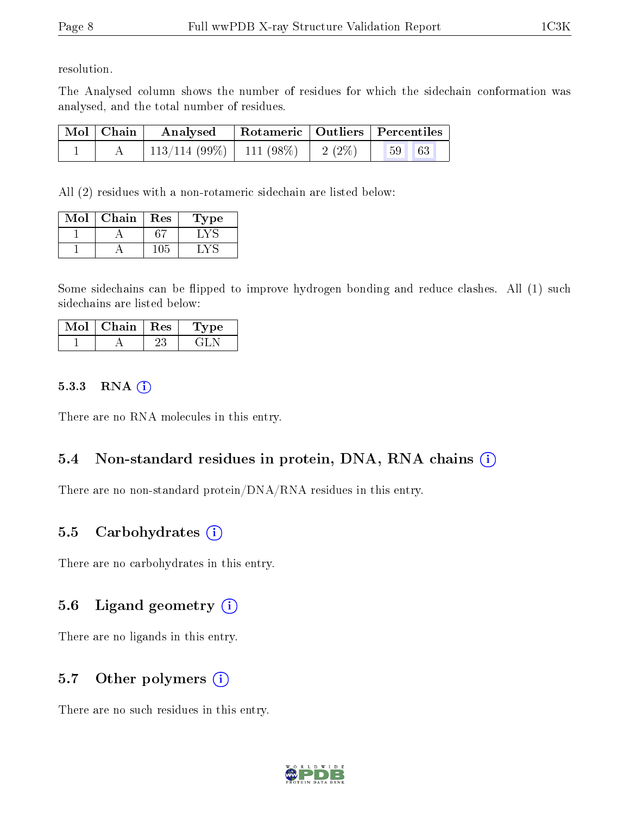resolution.

The Analysed column shows the number of residues for which the sidechain conformation was analysed, and the total number of residues.

| Mol   Chain | $\bf{Analysed}$ $\parallel$        |  | Rotameric   Outliers   Percentiles                                                 |
|-------------|------------------------------------|--|------------------------------------------------------------------------------------|
|             | 113/114 (99%)   111 (98%)   2 (2%) |  | $\begin{array}{ c c c c c } \hline \textbf{59} & \textbf{63} \ \hline \end{array}$ |

All (2) residues with a non-rotameric sidechain are listed below:

| Mol | Chain | Res | ype |
|-----|-------|-----|-----|
|     |       |     |     |
|     |       |     |     |

Some sidechains can be flipped to improve hydrogen bonding and reduce clashes. All (1) such sidechains are listed below:

| Chain | $\perp$ $\mathbf{Res}$ | pe.<br>$\perp$ V |
|-------|------------------------|------------------|
|       |                        |                  |

#### 5.3.3 RNA (i)

There are no RNA molecules in this entry.

#### 5.4 Non-standard residues in protein, DNA, RNA chains (i)

There are no non-standard protein/DNA/RNA residues in this entry.

#### 5.5 Carbohydrates  $(i)$

There are no carbohydrates in this entry.

#### 5.6 Ligand geometry  $(i)$

There are no ligands in this entry.

#### 5.7 [O](https://www.wwpdb.org/validation/2017/XrayValidationReportHelp#nonstandard_residues_and_ligands)ther polymers (i)

There are no such residues in this entry.

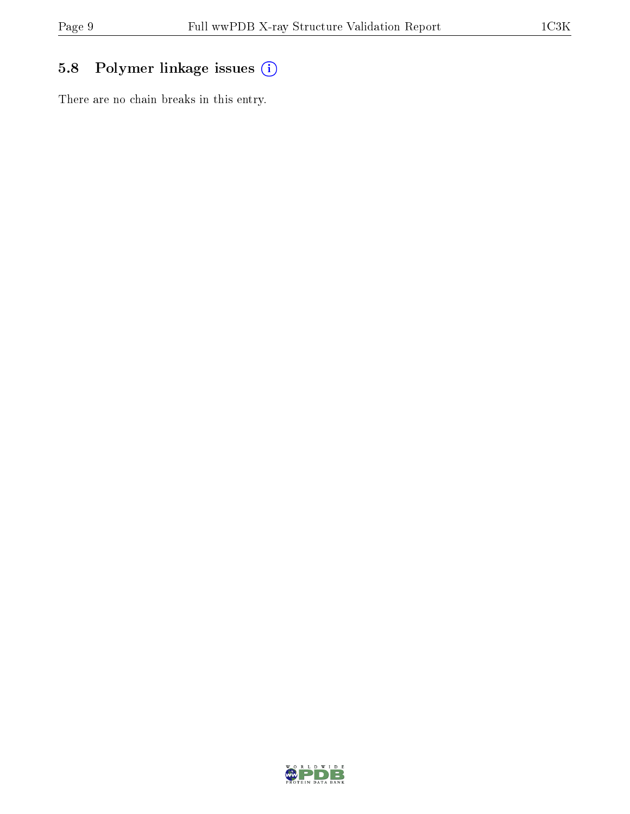### 5.8 Polymer linkage issues (i)

There are no chain breaks in this entry.

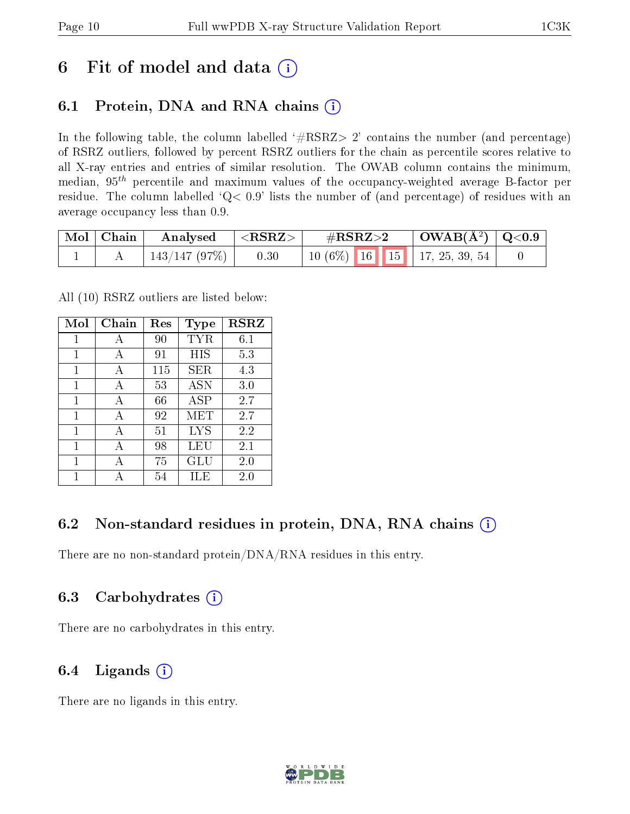### 6 Fit of model and data  $(i)$

### 6.1 Protein, DNA and RNA chains  $(i)$

In the following table, the column labelled  $#RSRZ> 2'$  contains the number (and percentage) of RSRZ outliers, followed by percent RSRZ outliers for the chain as percentile scores relative to all X-ray entries and entries of similar resolution. The OWAB column contains the minimum, median,  $95<sup>th</sup>$  percentile and maximum values of the occupancy-weighted average B-factor per residue. The column labelled  $Q< 0.9$  lists the number of (and percentage) of residues with an average occupancy less than 0.9.

| Mol   Chain | Analysed      | $\degree$ <rsrz></rsrz> | $\#\text{RSRZ}\text{>2}$ | $\mid$ OWAB(Å <sup>2</sup> ) $\mid$ Q<0.9 |  |
|-------------|---------------|-------------------------|--------------------------|-------------------------------------------|--|
|             | 143/147 (97%) | 0.30                    |                          |                                           |  |

All (10) RSRZ outliers are listed below:

| Mol | Chain | $\operatorname{Res}% \left( \mathcal{N}\right) \equiv\operatorname{Res}(\mathcal{N}_{0})\cap\mathcal{N}_{1}$ | Type       | <b>RSRZ</b> |
|-----|-------|--------------------------------------------------------------------------------------------------------------|------------|-------------|
| 1   | А     | 90                                                                                                           | TYR        | 6.1         |
| 1   | A     | 91                                                                                                           | HIS        | 5.3         |
| 1   | А     | 115                                                                                                          | <b>SER</b> | 4.3         |
| 1   | A     | 53                                                                                                           | <b>ASN</b> | 3.0         |
| 1   | A     | 66                                                                                                           | ASP        | 2.7         |
| 1   | A     | 92                                                                                                           | MET        | 2.7         |
| 1   | A     | 51                                                                                                           | <b>LYS</b> | 2.2         |
| 1   | A     | 98                                                                                                           | LEU        | $2.1\,$     |
| 1   |       | 75                                                                                                           | GLU        | 2.0         |
| 1   |       | 54                                                                                                           | ILE        | $2.0\,$     |

#### 6.2 Non-standard residues in protein, DNA, RNA chains (i)

There are no non-standard protein/DNA/RNA residues in this entry.

#### 6.3 Carbohydrates (i)

There are no carbohydrates in this entry.

#### 6.4 Ligands  $(i)$

There are no ligands in this entry.